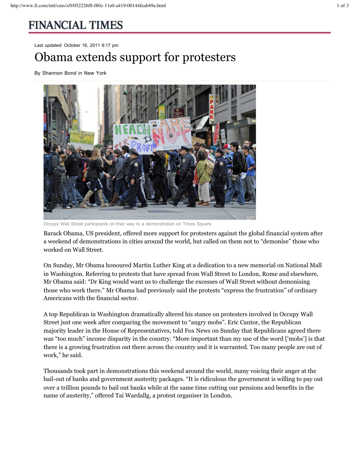## **FINANCIAL TIMES**

Last updated: October 16, 2011 9:17 pm

## Obama extends support for protesters

By Shannon Bond in New York



Occupy Wall Street participants on their way to a demonstration on Times Square

Barack Obama, US president, offered more support for protesters against the global financial system after a weekend of demonstrations in cities around the world, but called on them not to "demonise" those who worked on Wall Street.

On Sunday, Mr Obama honoured Martin Luther King at a dedication to a new memorial on National Mall in Washington. Referring to protests that have spread from Wall Street to London, Rome and elsewhere, Mr Obama said: "Dr King would want us to challenge the excesses of Wall Street without demonising those who work there." Mr Obama had previously said the protests "express the frustration" of ordinary Americans with the financial sector.

A top Republican in Washington dramatically altered his stance on protesters involved in Occupy Wall Street just one week after comparing the movement to "angry mobs". Eric Cantor, the Republican majority leader in the House of Representatives, told Fox News on Sunday that Republicans agreed there was "too much" income disparity in the country. "More important than my use of the word ['mobs'] is that there is a growing frustration out there across the country and it is warranted. Too many people are out of work," he said.

Thousands took part in demonstrations this weekend around the world, many voicing their anger at the bail-out of banks and government austerity packages. "It is ridiculous the government is willing to pay out over a trillion pounds to bail out banks while at the same time cutting our pensions and benefits in the name of austerity," offered Tai Wardallg, a protest organiser in London.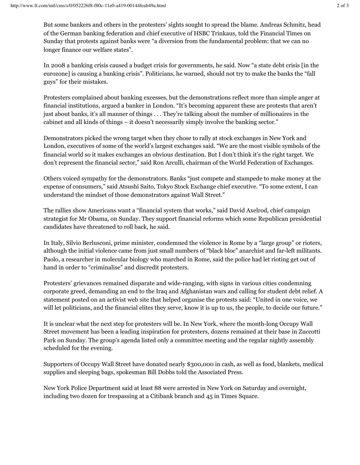But some bankers and others in the protesters' sights sought to spread the blame. Andreas Schmitz, head of the German banking federation and chief executive of HSBC Trinkaus, told the Financial Times on Sunday that protests against banks were "a diversion from the fundamental problem: that we can no longer finance our welfare states".

In 2008 a banking crisis caused a budget crisis for governments, he said. Now "a state debt crisis [in the eurozone] is causing a banking crisis". Politicians, he warned, should not try to make the banks the "fall guys" for their mistakes.

Protesters complained about banking excesses, but the demonstrations reflect more than simple anger at financial institutions, argued a banker in London. "It's becoming apparent these are protests that aren't just about banks, it's all manner of things . . . They're talking about the number of millionaires in the cabinet and all kinds of things – it doesn't necessarily simply involve the banking sector."

Demonstrators picked the wrong target when they chose to rally at stock exchanges in New York and London, executives of some of the world's largest exchanges said. "We are the most visible symbols of the financial world so it makes exchanges an obvious destination. But I don't think it's the right target. We don't represent the financial sector," said Ron Arculli, chairman of the World Federation of Exchanges.

Others voiced sympathy for the demonstrators. Banks "just compete and stampede to make money at the expense of consumers," said Atsushi Saito, Tokyo Stock Exchange chief executive. "To some extent, I can understand the mindset of those demonstrators against Wall Street."

The rallies show Americans want a "financial system that works," said David Axelrod, chief campaign strategist for Mr Obama, on Sunday. They support financial reforms which some Republican presidential candidates have threatened to roll back, he said.

In Italy, Silvio Berlusconi, prime minister, condemned the violence in Rome by a "large group" or rioters, although the initial violence came from just small numbers of "black bloc" anarchist and far-left militants. Paolo, a researcher in molecular biology who marched in Rome, said the police had let rioting get out of hand in order to "criminalise" and discredit protesters.

Protesters' grievances remained disparate and wide-ranging, with signs in various cities condemning corporate greed, demanding an end to the Iraq and Afghanistan wars and calling for student debt relief. A statement posted on an activist web site that helped organise the protests said: "United in one voice, we will let politicians, and the financial elites they serve, know it is up to us, the people, to decide our future."

It is unclear what the next step for protesters will be. In New York, where the month-long Occupy Wall Street movement has been a leading inspiration for protesters, dozens remained at their base in Zuccotti Park on Sunday. The group's agenda listed only a committee meeting and the regular nightly assembly scheduled for the evening.

Supporters of Occupy Wall Street have donated nearly \$300,000 in cash, as well as food, blankets, medical supplies and sleeping bags, spokesman Bill Dobbs told the Associated Press.

New York Police Department said at least 88 were arrested in New York on Saturday and overnight, including two dozen for trespassing at a Citibank branch and 45 in Times Square.